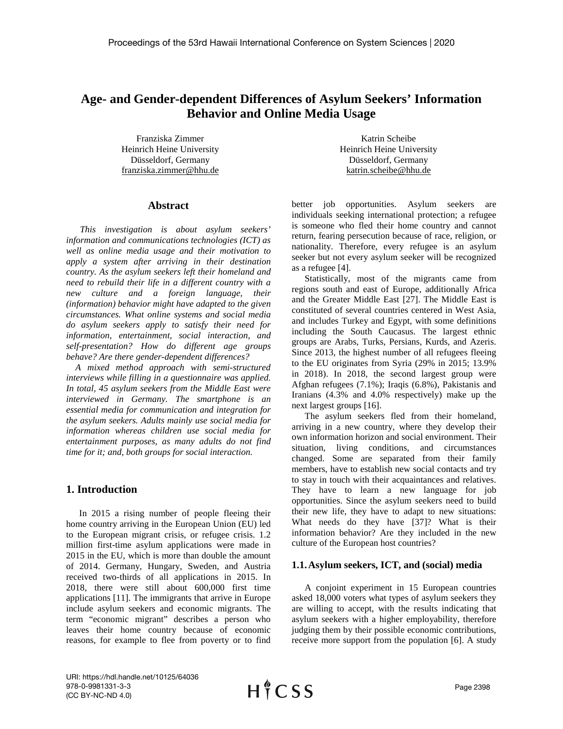# **Age- and Gender-dependent Differences of Asylum Seekers' Information Behavior and Online Media Usage**

Franziska Zimmer Heinrich Heine University Düsseldorf, Germany franziska.zimmer@hhu.de

## **Abstract**

 *This investigation is about asylum seekers' information and communications technologies (ICT) as well as online media usage and their motivation to apply a system after arriving in their destination country. As the asylum seekers left their homeland and need to rebuild their life in a different country with a new culture and a foreign language, their (information) behavior might have adapted to the given circumstances. What online systems and social media do asylum seekers apply to satisfy their need for information, entertainment, social interaction, and self-presentation? How do different age groups behave? Are there gender-dependent differences?* 

 *A mixed method approach with semi-structured interviews while filling in a questionnaire was applied. In total, 45 asylum seekers from the Middle East were interviewed in Germany. The smartphone is an essential media for communication and integration for the asylum seekers. Adults mainly use social media for information whereas children use social media for entertainment purposes, as many adults do not find time for it; and, both groups for social interaction.*

# **1. Introduction**

In 2015 a rising number of people fleeing their home country arriving in the European Union (EU) led to the European migrant crisis, or refugee crisis. 1.2 million first-time asylum applications were made in 2015 in the EU, which is more than double the amount of 2014. Germany, Hungary, Sweden, and Austria received two-thirds of all applications in 2015. In 2018, there were still about 600,000 first time applications [11]. The immigrants that arrive in Europe include asylum seekers and economic migrants. The term "economic migrant" describes a person who leaves their home country because of economic reasons, for example to flee from poverty or to find

Katrin Scheibe Heinrich Heine University Düsseldorf, Germany katrin.scheibe@hhu.de

better job opportunities. Asylum seekers are individuals seeking international protection; a refugee is someone who fled their home country and cannot return, fearing persecution because of race, religion, or nationality. Therefore, every refugee is an asylum seeker but not every asylum seeker will be recognized as a refugee [4].

Statistically, most of the migrants came from regions south and east of Europe, additionally Africa and the Greater Middle East [27]. The Middle East is constituted of several countries centered in West Asia, and includes Turkey and Egypt, with some definitions including the South Caucasus. The largest ethnic groups are Arabs, Turks, Persians, Kurds, and Azeris. Since 2013, the highest number of all refugees fleeing to the EU originates from Syria (29% in 2015; 13.9% in 2018). In 2018, the second largest group were Afghan refugees (7.1%); Iraqis (6.8%), Pakistanis and Iranians (4.3% and 4.0% respectively) make up the next largest groups [16].

The asylum seekers fled from their homeland, arriving in a new country, where they develop their own information horizon and social environment. Their situation, living conditions, and circumstances changed. Some are separated from their family members, have to establish new social contacts and try to stay in touch with their acquaintances and relatives. They have to learn a new language for job opportunities. Since the asylum seekers need to build their new life, they have to adapt to new situations: What needs do they have [37]? What is their information behavior? Are they included in the new culture of the European host countries?

## **1.1.Asylum seekers, ICT, and (social) media**

A conjoint experiment in 15 European countries asked 18,000 voters what types of asylum seekers they are willing to accept, with the results indicating that asylum seekers with a higher employability, therefore judging them by their possible economic contributions, receive more support from the population [6]. A study

URI: https://hdl.handle.net/10125/64036 978-0-9981331-3-3 (CC BY-NC-ND 4.0)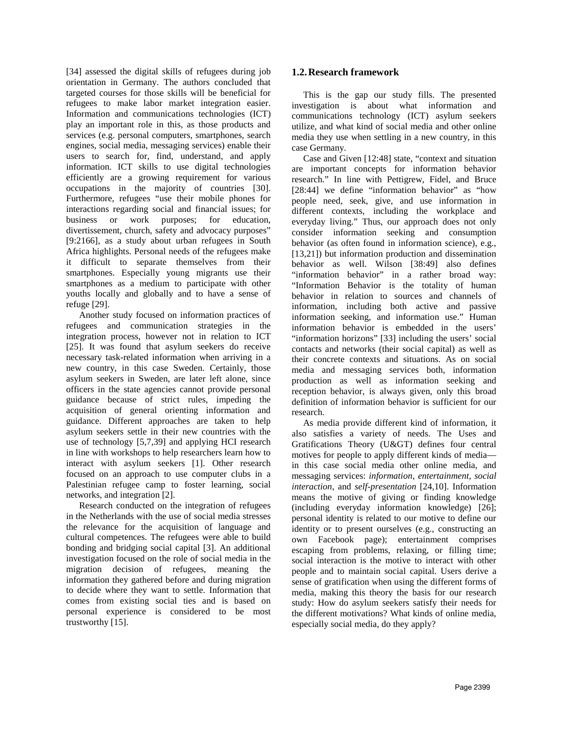[34] assessed the digital skills of refugees during job orientation in Germany. The authors concluded that targeted courses for those skills will be beneficial for refugees to make labor market integration easier. Information and communications technologies (ICT) play an important role in this, as those products and services (e.g. personal computers, smartphones, search engines, social media, messaging services) enable their users to search for, find, understand, and apply information. ICT skills to use digital technologies efficiently are a growing requirement for various occupations in the majority of countries [30]. Furthermore, refugees "use their mobile phones for interactions regarding social and financial issues; for business or work purposes; for education, divertissement, church, safety and advocacy purposes" [9:2166], as a study about urban refugees in South Africa highlights. Personal needs of the refugees make it difficult to separate themselves from their smartphones. Especially young migrants use their smartphones as a medium to participate with other youths locally and globally and to have a sense of refuge [29].

Another study focused on information practices of refugees and communication strategies in the integration process, however not in relation to ICT [25]. It was found that asylum seekers do receive necessary task-related information when arriving in a new country, in this case Sweden. Certainly, those asylum seekers in Sweden, are later left alone, since officers in the state agencies cannot provide personal guidance because of strict rules, impeding the acquisition of general orienting information and guidance. Different approaches are taken to help asylum seekers settle in their new countries with the use of technology [5,7,39] and applying HCI research in line with workshops to help researchers learn how to interact with asylum seekers [1]. Other research focused on an approach to use computer clubs in a Palestinian refugee camp to foster learning, social networks, and integration [2].

Research conducted on the integration of refugees in the Netherlands with the use of social media stresses the relevance for the acquisition of language and cultural competences. The refugees were able to build bonding and bridging social capital [3]. An additional investigation focused on the role of social media in the migration decision of refugees, meaning the information they gathered before and during migration to decide where they want to settle. Information that comes from existing social ties and is based on personal experience is considered to be most trustworthy [15].

# **1.2.Research framework**

 This is the gap our study fills. The presented investigation is about what information and communications technology (ICT) asylum seekers utilize, and what kind of social media and other online media they use when settling in a new country, in this case Germany.

 Case and Given [12:48] state, "context and situation are important concepts for information behavior research." In line with Pettigrew, Fidel, and Bruce [28:44] we define "information behavior" as "how people need, seek, give, and use information in different contexts, including the workplace and everyday living." Thus, our approach does not only consider information seeking and consumption behavior (as often found in information science), e.g., [13,21]) but information production and dissemination behavior as well. Wilson [38:49] also defines "information behavior" in a rather broad way: "Information Behavior is the totality of human behavior in relation to sources and channels of information, including both active and passive information seeking, and information use." Human information behavior is embedded in the users' "information horizons" [33] including the users' social contacts and networks (their social capital) as well as their concrete contexts and situations. As on social media and messaging services both, information production as well as information seeking and reception behavior, is always given, only this broad definition of information behavior is sufficient for our research.

 As media provide different kind of information, it also satisfies a variety of needs. The Uses and Gratifications Theory (U&GT) defines four central motives for people to apply different kinds of media in this case social media other online media, and messaging services: *information*, *entertainment*, *social interaction*, and *self-presentation* [24,10]. Information means the motive of giving or finding knowledge (including everyday information knowledge) [26]; personal identity is related to our motive to define our identity or to present ourselves (e.g., constructing an own Facebook page); entertainment comprises escaping from problems, relaxing, or filling time; social interaction is the motive to interact with other people and to maintain social capital. Users derive a sense of gratification when using the different forms of media, making this theory the basis for our research study: How do asylum seekers satisfy their needs for the different motivations? What kinds of online media, especially social media, do they apply?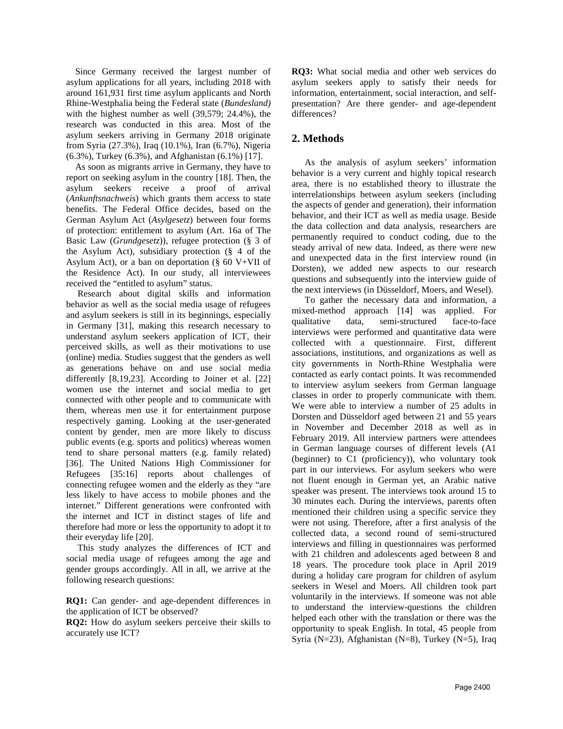Since Germany received the largest number of asylum applications for all years, including 2018 with around 161,931 first time asylum applicants and North Rhine-Westphalia being the Federal state (*Bundesland)* with the highest number as well (39,579; 24.4%), the research was conducted in this area. Most of the asylum seekers arriving in Germany 2018 originate from Syria (27.3%), Iraq (10.1%), Iran (6.7%), Nigeria (6.3%), Turkey (6.3%), and Afghanistan (6.1%) [17].

 As soon as migrants arrive in Germany, they have to report on seeking asylum in the country [18]. Then, the asylum seekers receive a proof of arrival (*Ankunftsnachweis*) which grants them access to state benefits. The Federal Office decides, based on the German Asylum Act (*Asylgesetz*) between four forms of protection: entitlement to asylum (Art. 16a of The Basic Law (*Grundgesetz*)), refugee protection (§ 3 of the Asylum Act), subsidiary protection (§ 4 of the Asylum Act), or a ban on deportation ( $\S$  60 V+VII of the Residence Act). In our study, all interviewees received the "entitled to asylum" status.

 Research about digital skills and information behavior as well as the social media usage of refugees and asylum seekers is still in its beginnings, especially in Germany [31], making this research necessary to understand asylum seekers application of ICT, their perceived skills, as well as their motivations to use (online) media. Studies suggest that the genders as well as generations behave on and use social media differently [8,19,23]. According to Joiner et al. [22] women use the internet and social media to get connected with other people and to communicate with them, whereas men use it for entertainment purpose respectively gaming. Looking at the user-generated content by gender, men are more likely to discuss public events (e.g. sports and politics) whereas women tend to share personal matters (e.g. family related) [36]. The United Nations High Commissioner for Refugees [35:16] reports about challenges of connecting refugee women and the elderly as they "are less likely to have access to mobile phones and the internet." Different generations were confronted with the internet and ICT in distinct stages of life and therefore had more or less the opportunity to adopt it to their everyday life [20].

 This study analyzes the differences of ICT and social media usage of refugees among the age and gender groups accordingly. All in all, we arrive at the following research questions:

**RQ1:** Can gender- and age-dependent differences in the application of ICT be observed?

**RQ2:** How do asylum seekers perceive their skills to accurately use ICT?

**RQ3:** What social media and other web services do asylum seekers apply to satisfy their needs for information, entertainment, social interaction, and selfpresentation? Are there gender- and age-dependent differences?

# **2. Methods**

As the analysis of asylum seekers' information behavior is a very current and highly topical research area, there is no established theory to illustrate the interrelationships between asylum seekers (including the aspects of gender and generation), their information behavior, and their ICT as well as media usage. Beside the data collection and data analysis, researchers are permanently required to conduct coding, due to the steady arrival of new data. Indeed, as there were new and unexpected data in the first interview round (in Dorsten), we added new aspects to our research questions and subsequently into the interview guide of the next interviews (in Düsseldorf, Moers, and Wesel).

To gather the necessary data and information, a mixed-method approach [14] was applied. For qualitative data, semi-structured face-to-face interviews were performed and quantitative data were collected with a questionnaire. First, different associations, institutions, and organizations as well as city governments in North-Rhine Westphalia were contacted as early contact points. It was recommended to interview asylum seekers from German language classes in order to properly communicate with them. We were able to interview a number of 25 adults in Dorsten and Düsseldorf aged between 21 and 55 years in November and December 2018 as well as in February 2019. All interview partners were attendees in German language courses of different levels (A1 (beginner) to C1 (proficiency)), who voluntary took part in our interviews. For asylum seekers who were not fluent enough in German yet, an Arabic native speaker was present. The interviews took around 15 to 30 minutes each. During the interviews, parents often mentioned their children using a specific service they were not using. Therefore, after a first analysis of the collected data, a second round of semi-structured interviews and filling in questionnaires was performed with 21 children and adolescents aged between 8 and 18 years. The procedure took place in April 2019 during a holiday care program for children of asylum seekers in Wesel and Moers. All children took part voluntarily in the interviews. If someone was not able to understand the interview-questions the children helped each other with the translation or there was the opportunity to speak English. In total, 45 people from Syria (N=23), Afghanistan (N=8), Turkey (N=5), Iraq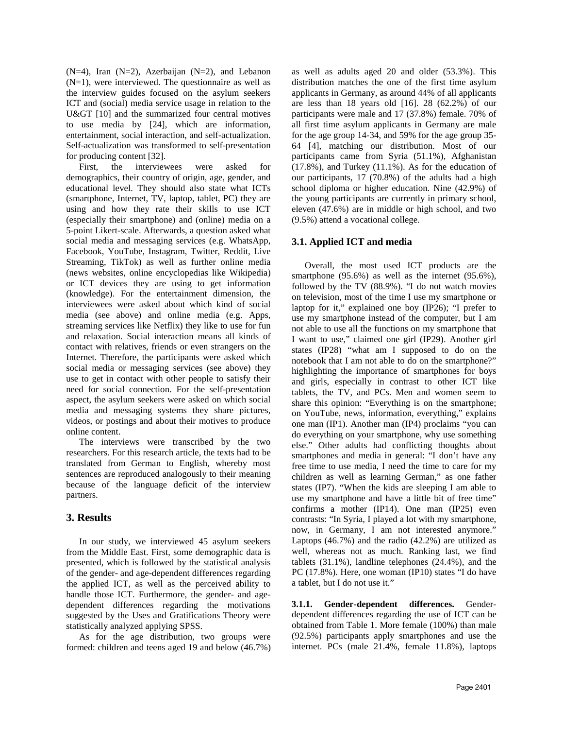(N=4), Iran (N=2), Azerbaijan (N=2), and Lebanon  $(N=1)$ , were interviewed. The questionnaire as well as the interview guides focused on the asylum seekers ICT and (social) media service usage in relation to the  $U>$  [10] and the summarized four central motives to use media by [24], which are information, entertainment, social interaction, and self-actualization. Self-actualization was transformed to self-presentation for producing content [32].

First, the interviewees were asked for demographics, their country of origin, age, gender, and educational level. They should also state what ICTs (smartphone, Internet, TV, laptop, tablet, PC) they are using and how they rate their skills to use ICT (especially their smartphone) and (online) media on a 5-point Likert-scale. Afterwards, a question asked what social media and messaging services (e.g. WhatsApp, Facebook, YouTube, Instagram, Twitter, Reddit, Live Streaming, TikTok) as well as further online media (news websites, online encyclopedias like Wikipedia) or ICT devices they are using to get information (knowledge). For the entertainment dimension, the interviewees were asked about which kind of social media (see above) and online media (e.g. Apps, streaming services like Netflix) they like to use for fun and relaxation. Social interaction means all kinds of contact with relatives, friends or even strangers on the Internet. Therefore, the participants were asked which social media or messaging services (see above) they use to get in contact with other people to satisfy their need for social connection. For the self-presentation aspect, the asylum seekers were asked on which social media and messaging systems they share pictures, videos, or postings and about their motives to produce online content.

The interviews were transcribed by the two researchers. For this research article, the texts had to be translated from German to English, whereby most sentences are reproduced analogously to their meaning because of the language deficit of the interview partners.

# **3. Results**

In our study, we interviewed 45 asylum seekers from the Middle East. First, some demographic data is presented, which is followed by the statistical analysis of the gender- and age-dependent differences regarding the applied ICT, as well as the perceived ability to handle those ICT. Furthermore, the gender- and agedependent differences regarding the motivations suggested by the Uses and Gratifications Theory were statistically analyzed applying SPSS.

As for the age distribution, two groups were formed: children and teens aged 19 and below (46.7%) as well as adults aged 20 and older (53.3%). This distribution matches the one of the first time asylum applicants in Germany, as around 44% of all applicants are less than 18 years old [16]. 28 (62.2%) of our participants were male and 17 (37.8%) female. 70% of all first time asylum applicants in Germany are male for the age group 14-34, and 59% for the age group 35- 64 [4], matching our distribution. Most of our participants came from Syria (51.1%), Afghanistan (17.8%), and Turkey (11.1%). As for the education of our participants, 17 (70.8%) of the adults had a high school diploma or higher education. Nine (42.9%) of the young participants are currently in primary school, eleven (47.6%) are in middle or high school, and two (9.5%) attend a vocational college.

## **3.1. Applied ICT and media**

Overall, the most used ICT products are the smartphone (95.6%) as well as the internet (95.6%), followed by the TV (88.9%). "I do not watch movies on television, most of the time I use my smartphone or laptop for it," explained one boy (IP26); "I prefer to use my smartphone instead of the computer, but I am not able to use all the functions on my smartphone that I want to use," claimed one girl (IP29). Another girl states (IP28) "what am I supposed to do on the notebook that I am not able to do on the smartphone?" highlighting the importance of smartphones for boys and girls, especially in contrast to other ICT like tablets, the TV, and PCs. Men and women seem to share this opinion: "Everything is on the smartphone; on YouTube, news, information, everything," explains one man (IP1). Another man (IP4) proclaims "you can do everything on your smartphone, why use something else." Other adults had conflicting thoughts about smartphones and media in general: "I don't have any free time to use media, I need the time to care for my children as well as learning German," as one father states (IP7). "When the kids are sleeping I am able to use my smartphone and have a little bit of free time" confirms a mother (IP14). One man (IP25) even contrasts: "In Syria, I played a lot with my smartphone, now, in Germany, I am not interested anymore." Laptops (46.7%) and the radio (42.2%) are utilized as well, whereas not as much. Ranking last, we find tablets (31.1%), landline telephones (24.4%), and the PC (17.8%). Here, one woman (IP10) states "I do have a tablet, but I do not use it."

**3.1.1. Gender-dependent differences.** Genderdependent differences regarding the use of ICT can be obtained from Table 1. More female (100%) than male (92.5%) participants apply smartphones and use the internet. PCs (male 21.4%, female 11.8%), laptops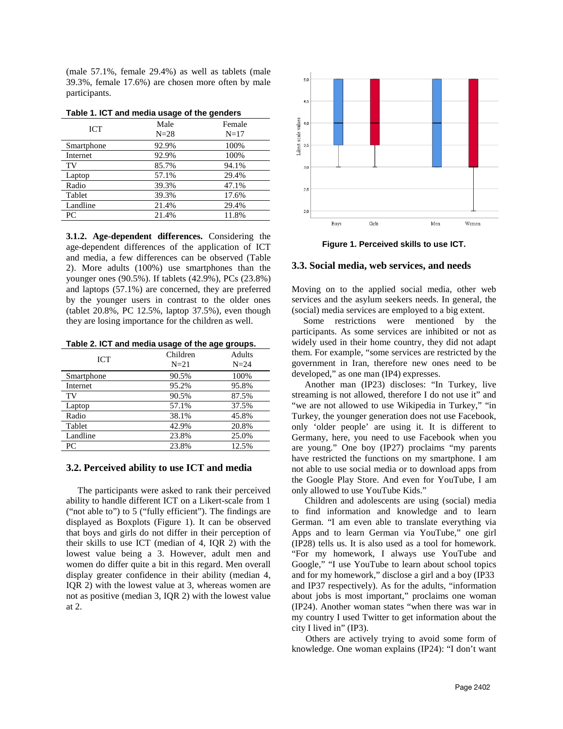(male 57.1%, female 29.4%) as well as tablets (male 39.3%, female 17.6%) are chosen more often by male participants.

| - - -<br>--- |                |                  |  |  |  |  |
|--------------|----------------|------------------|--|--|--|--|
| <b>ICT</b>   | Male<br>$N=28$ | Female<br>$N=17$ |  |  |  |  |
| Smartphone   | 92.9%          | 100%             |  |  |  |  |
| Internet     | 92.9%          | 100%             |  |  |  |  |
| TV           | 85.7%          | 94.1%            |  |  |  |  |
| Laptop       | 57.1%          | 29.4%            |  |  |  |  |
| Radio        | 39.3%          | 47.1%            |  |  |  |  |
| Tablet       | 39.3%          | 17.6%            |  |  |  |  |
| Landline     | 21.4%          | 29.4%            |  |  |  |  |
| PC           | 21.4%          | 11.8%            |  |  |  |  |

**Table 1. ICT and media usage of the genders**

**3.1.2. Age-dependent differences.** Considering the age-dependent differences of the application of ICT and media, a few differences can be observed (Table 2). More adults (100%) use smartphones than the younger ones (90.5%). If tablets (42.9%), PCs (23.8%) and laptops (57.1%) are concerned, they are preferred by the younger users in contrast to the older ones (tablet 20.8%, PC 12.5%, laptop 37.5%), even though they are losing importance for the children as well.

| <b>ICT</b> | Children<br>$N=21$ | <b>Adults</b><br>$N=24$ |
|------------|--------------------|-------------------------|
| Smartphone | 90.5%              | 100%                    |
| Internet   | 95.2%              | 95.8%                   |
| TV         | 90.5%              | 87.5%                   |
| Laptop     | 57.1%              | 37.5%                   |
| Radio      | 38.1%              | 45.8%                   |
| Tablet     | 42.9%              | 20.8%                   |
| Landline   | 23.8%              | 25.0%                   |
| PC         | 23.8%              | 12.5%                   |

#### **3.2. Perceived ability to use ICT and media**

 The participants were asked to rank their perceived ability to handle different ICT on a Likert-scale from 1 ("not able to") to 5 ("fully efficient"). The findings are displayed as Boxplots (Figure 1). It can be observed that boys and girls do not differ in their perception of their skills to use ICT (median of 4, IQR 2) with the lowest value being a 3. However, adult men and women do differ quite a bit in this regard. Men overall display greater confidence in their ability (median 4, IQR 2) with the lowest value at 3, whereas women are not as positive (median 3, IQR 2) with the lowest value at 2.



**Figure 1. Perceived skills to use ICT.**

#### **3.3. Social media, web services, and needs**

Moving on to the applied social media, other web services and the asylum seekers needs. In general, the (social) media services are employed to a big extent.

 Some restrictions were mentioned by the participants. As some services are inhibited or not as widely used in their home country, they did not adapt them. For example, "some services are restricted by the government in Iran, therefore new ones need to be developed," as one man (IP4) expresses.

Another man (IP23) discloses: "In Turkey, live streaming is not allowed, therefore I do not use it" and "we are not allowed to use Wikipedia in Turkey," "in Turkey, the younger generation does not use Facebook, only 'older people' are using it. It is different to Germany, here, you need to use Facebook when you are young." One boy (IP27) proclaims "my parents have restricted the functions on my smartphone. I am not able to use social media or to download apps from the Google Play Store. And even for YouTube, I am only allowed to use YouTube Kids."

Children and adolescents are using (social) media to find information and knowledge and to learn German. "I am even able to translate everything via Apps and to learn German via YouTube," one girl (IP28) tells us. It is also used as a tool for homework. "For my homework, I always use YouTube and Google," "I use YouTube to learn about school topics and for my homework," disclose a girl and a boy (IP33 and IP37 respectively). As for the adults, "information about jobs is most important," proclaims one woman (IP24). Another woman states "when there was war in my country I used Twitter to get information about the city I lived in" (IP3).

 Others are actively trying to avoid some form of knowledge. One woman explains (IP24): "I don't want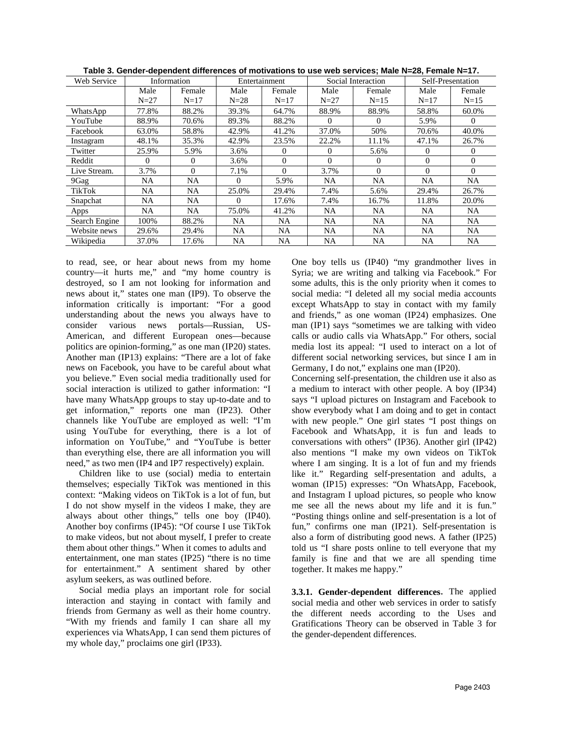| Web Service   | Information |          | Entertainment |          | Social Interaction |          | Self-Presentation |           |
|---------------|-------------|----------|---------------|----------|--------------------|----------|-------------------|-----------|
|               | Male        | Female   | Male          | Female   | Male               | Female   | Male              | Female    |
|               | $N=27$      | $N = 17$ | $N=28$        | $N=17$   | $N=27$             | $N=15$   | $N = 17$          | $N=15$    |
| WhatsApp      | 77.8%       | 88.2%    | 39.3%         | 64.7%    | 88.9%              | 88.9%    | 58.8%             | 60.0%     |
| YouTube       | 88.9%       | 70.6%    | 89.3%         | 88.2%    | $\Omega$           | 0        | 5.9%              | $\theta$  |
| Facebook      | 63.0%       | 58.8%    | 42.9%         | 41.2%    | 37.0%              | 50%      | 70.6%             | 40.0%     |
| Instagram     | 48.1%       | 35.3%    | 42.9%         | 23.5%    | 22.2%              | 11.1%    | 47.1%             | 26.7%     |
| Twitter       | 25.9%       | 5.9%     | 3.6%          | 0        | $\Omega$           | 5.6%     | 0                 | $\Omega$  |
| Reddit        | $\Omega$    | 0        | 3.6%          | $\Omega$ | $\Omega$           | $\Omega$ | $\Omega$          | $\Omega$  |
| Live Stream.  | 3.7%        | $\Omega$ | 7.1%          | $\Omega$ | 3.7%               | $\Omega$ | $\Omega$          | $\Omega$  |
| 9Gag          | NA          | NA       | $\Omega$      | 5.9%     | NA                 | NA       | <b>NA</b>         | <b>NA</b> |
| TikTok        | <b>NA</b>   | NA       | 25.0%         | 29.4%    | 7.4%               | 5.6%     | 29.4%             | 26.7%     |
| Snapchat      | NA          | NA.      | 0             | 17.6%    | 7.4%               | 16.7%    | 11.8%             | 20.0%     |
| Apps          | NA          | NA       | 75.0%         | 41.2%    | NA                 | NA.      | NA.               | NA        |
| Search Engine | 100%        | 88.2%    | NA.           | NA       | <b>NA</b>          | NA       | NA.               | NA.       |
| Website news  | 29.6%       | 29.4%    | NA.           | NA       | <b>NA</b>          | NA.      | <b>NA</b>         | NA        |
| Wikipedia     | 37.0%       | 17.6%    | NA            | NA       | NA                 | NA       | NA                | NA        |

**Table 3. Gender-dependent differences of motivations to use web services; Male N=28, Female N=17.**

to read, see, or hear about news from my home country—it hurts me," and "my home country is destroyed, so I am not looking for information and news about it," states one man (IP9). To observe the information critically is important: "For a good understanding about the news you always have to consider various news portals—Russian, US-American, and different European ones—because politics are opinion-forming," as one man (IP20) states. Another man (IP13) explains: "There are a lot of fake news on Facebook, you have to be careful about what you believe." Even social media traditionally used for social interaction is utilized to gather information: "I have many WhatsApp groups to stay up-to-date and to get information," reports one man (IP23). Other channels like YouTube are employed as well: "I'm using YouTube for everything, there is a lot of information on YouTube," and "YouTube is better than everything else, there are all information you will need," as two men (IP4 and IP7 respectively) explain.

Children like to use (social) media to entertain themselves; especially TikTok was mentioned in this context: "Making videos on TikTok is a lot of fun, but I do not show myself in the videos I make, they are always about other things," tells one boy (IP40). Another boy confirms (IP45): "Of course I use TikTok to make videos, but not about myself, I prefer to create them about other things." When it comes to adults and entertainment, one man states (IP25) "there is no time for entertainment." A sentiment shared by other asylum seekers, as was outlined before.

Social media plays an important role for social interaction and staying in contact with family and friends from Germany as well as their home country. "With my friends and family I can share all my experiences via WhatsApp, I can send them pictures of my whole day," proclaims one girl (IP33).

One boy tells us (IP40) "my grandmother lives in Syria; we are writing and talking via Facebook." For some adults, this is the only priority when it comes to social media: "I deleted all my social media accounts except WhatsApp to stay in contact with my family and friends," as one woman (IP24) emphasizes. One man (IP1) says "sometimes we are talking with video calls or audio calls via WhatsApp." For others, social media lost its appeal: "I used to interact on a lot of different social networking services, but since I am in Germany, I do not," explains one man (IP20).

Concerning self-presentation, the children use it also as a medium to interact with other people. A boy (IP34) says "I upload pictures on Instagram and Facebook to show everybody what I am doing and to get in contact with new people." One girl states "I post things on Facebook and WhatsApp, it is fun and leads to conversations with others" (IP36). Another girl (IP42) also mentions "I make my own videos on TikTok where I am singing. It is a lot of fun and my friends like it." Regarding self-presentation and adults, a woman (IP15) expresses: "On WhatsApp, Facebook, and Instagram I upload pictures, so people who know me see all the news about my life and it is fun." "Posting things online and self-presentation is a lot of fun," confirms one man (IP21). Self-presentation is also a form of distributing good news. A father (IP25) told us "I share posts online to tell everyone that my family is fine and that we are all spending time together. It makes me happy."

**3.3.1. Gender-dependent differences**. The applied social media and other web services in order to satisfy the different needs according to the Uses and Gratifications Theory can be observed in Table 3 for the gender-dependent differences.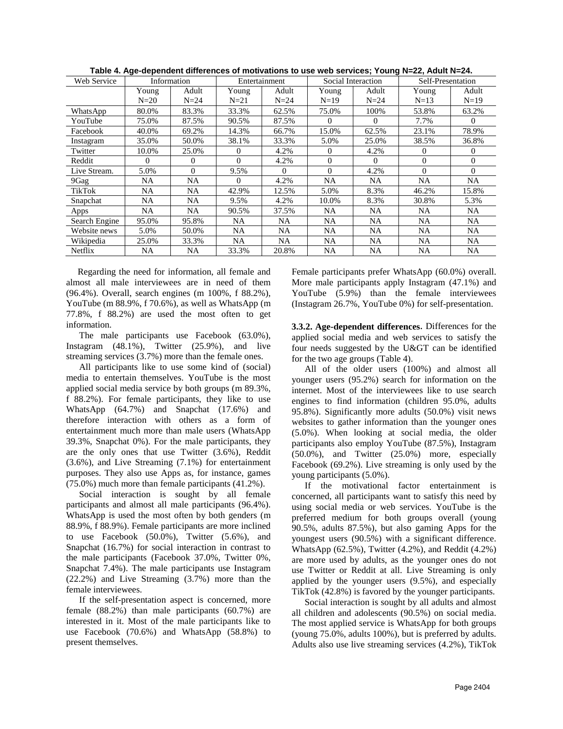| Web Service   | Information |              | Entertainment |          | Social Interaction |          | Self-Presentation |           |
|---------------|-------------|--------------|---------------|----------|--------------------|----------|-------------------|-----------|
|               | Young       | Adult        | Young         | Adult    | Young              | Adult    | Young             | Adult     |
|               | $N=20$      | $N=24$       | N=21          | $N=24$   | $N=19$             | $N=24$   | $N=13$            | $N=19$    |
| WhatsApp      | 80.0%       | 83.3%        | 33.3%         | 62.5%    | 75.0%              | 100%     | 53.8%             | 63.2%     |
| YouTube       | 75.0%       | 87.5%        | 90.5%         | 87.5%    | $\Omega$           | $\Omega$ | 7.7%              | $\Omega$  |
| Facebook      | 40.0%       | 69.2%        | 14.3%         | 66.7%    | 15.0%              | 62.5%    | 23.1%             | 78.9%     |
| Instagram     | 35.0%       | 50.0%        | 38.1%         | 33.3%    | 5.0%               | 25.0%    | 38.5%             | 36.8%     |
| Twitter       | 10.0%       | 25.0%        | 0             | 4.2%     | 0                  | 4.2%     | $\overline{0}$    | $\Omega$  |
| Reddit        | $\Omega$    | $\mathbf{0}$ | $\theta$      | 4.2%     | $\Omega$           | $\Omega$ | $\overline{0}$    | $\Omega$  |
| Live Stream.  | 5.0%        | $\mathbf{0}$ | 9.5%          | $\Omega$ | $\Omega$           | 4.2%     | $\Omega$          | $\Omega$  |
| 9Gag          | NA          | NA           | 0             | 4.2%     | NA                 | NA       | NA                | NA        |
| TikTok        | NA          | NA           | 42.9%         | 12.5%    | 5.0%               | 8.3%     | 46.2%             | 15.8%     |
| Snapchat      | NA          | NA           | 9.5%          | 4.2%     | 10.0%              | 8.3%     | 30.8%             | 5.3%      |
| Apps          | NA          | NA.          | 90.5%         | 37.5%    | NA.                | NA       | NA.               | NA.       |
| Search Engine | 95.0%       | 95.8%        | NA.           | NA       | NA                 | NA       | NA                | <b>NA</b> |
| Website news  | 5.0%        | 50.0%        | NA.           | NA       | NA                 | NA       | <b>NA</b>         | <b>NA</b> |
| Wikipedia     | 25.0%       | 33.3%        | NA            | NA       | NA                 | NA       | <b>NA</b>         | <b>NA</b> |
| Netflix       | NA          | NA           | 33.3%         | 20.8%    | NA                 | NA       | NA                | NA        |

**Table 4. Age-dependent differences of motivations to use web services; Young N=22, Adult N=24.**

 Regarding the need for information, all female and almost all male interviewees are in need of them (96.4%). Overall, search engines (m 100%, f 88.2%), YouTube (m 88.9%, f 70.6%), as well as WhatsApp (m 77.8%, f 88.2%) are used the most often to get information.

The male participants use Facebook (63.0%), Instagram (48.1%), Twitter (25.9%), and live streaming services (3.7%) more than the female ones.

All participants like to use some kind of (social) media to entertain themselves. YouTube is the most applied social media service by both groups (m 89.3%, f 88.2%). For female participants, they like to use WhatsApp (64.7%) and Snapchat (17.6%) and therefore interaction with others as a form of entertainment much more than male users (WhatsApp 39.3%, Snapchat 0%). For the male participants, they are the only ones that use Twitter (3.6%), Reddit (3.6%), and Live Streaming (7.1%) for entertainment purposes. They also use Apps as, for instance, games (75.0%) much more than female participants (41.2%).

Social interaction is sought by all female participants and almost all male participants (96.4%). WhatsApp is used the most often by both genders (m 88.9%, f 88.9%). Female participants are more inclined to use Facebook (50.0%), Twitter (5.6%), and Snapchat (16.7%) for social interaction in contrast to the male participants (Facebook 37.0%, Twitter 0%, Snapchat 7.4%). The male participants use Instagram (22.2%) and Live Streaming (3.7%) more than the female interviewees.

If the self-presentation aspect is concerned, more female (88.2%) than male participants (60.7%) are interested in it. Most of the male participants like to use Facebook (70.6%) and WhatsApp (58.8%) to present themselves.

Female participants prefer WhatsApp (60.0%) overall. More male participants apply Instagram (47.1%) and YouTube (5.9%) than the female interviewees (Instagram 26.7%, YouTube 0%) for self-presentation.

**3.3.2. Age-dependent differences**. Differences for the applied social media and web services to satisfy the four needs suggested by the U&GT can be identified for the two age groups (Table 4).

All of the older users (100%) and almost all younger users (95.2%) search for information on the internet. Most of the interviewees like to use search engines to find information (children 95.0%, adults 95.8%). Significantly more adults (50.0%) visit news websites to gather information than the younger ones (5.0%). When looking at social media, the older participants also employ YouTube (87.5%), Instagram (50.0%), and Twitter (25.0%) more, especially Facebook (69.2%). Live streaming is only used by the young participants (5.0%).

If the motivational factor entertainment is concerned, all participants want to satisfy this need by using social media or web services. YouTube is the preferred medium for both groups overall (young 90.5%, adults 87.5%), but also gaming Apps for the youngest users (90.5%) with a significant difference. WhatsApp (62.5%), Twitter (4.2%), and Reddit (4.2%) are more used by adults, as the younger ones do not use Twitter or Reddit at all. Live Streaming is only applied by the younger users (9.5%), and especially TikTok (42.8%) is favored by the younger participants.

Social interaction is sought by all adults and almost all children and adolescents (90.5%) on social media. The most applied service is WhatsApp for both groups (young 75.0%, adults 100%), but is preferred by adults. Adults also use live streaming services (4.2%), TikTok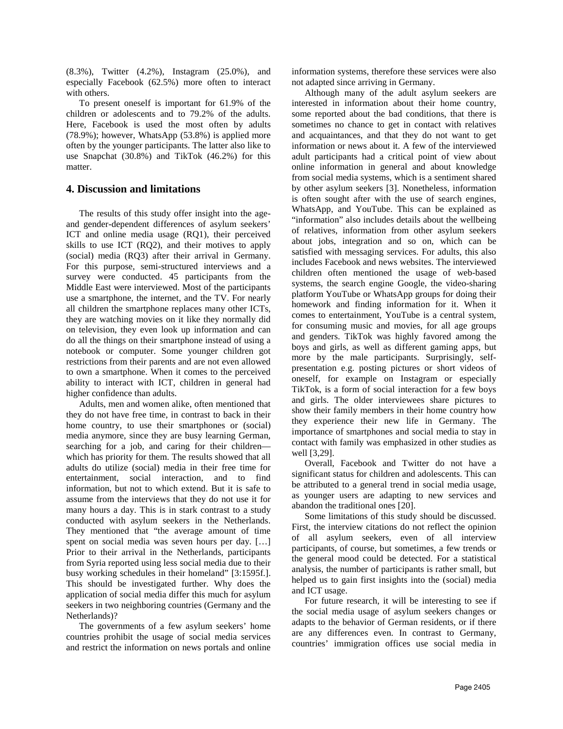(8.3%), Twitter (4.2%), Instagram (25.0%), and especially Facebook (62.5%) more often to interact with others.

To present oneself is important for 61.9% of the children or adolescents and to 79.2% of the adults. Here, Facebook is used the most often by adults (78.9%); however, WhatsApp (53.8%) is applied more often by the younger participants. The latter also like to use Snapchat (30.8%) and TikTok (46.2%) for this matter.

## **4. Discussion and limitations**

The results of this study offer insight into the ageand gender-dependent differences of asylum seekers' ICT and online media usage (RQ1), their perceived skills to use ICT (RQ2), and their motives to apply (social) media (RQ3) after their arrival in Germany. For this purpose, semi-structured interviews and a survey were conducted. 45 participants from the Middle East were interviewed. Most of the participants use a smartphone, the internet, and the TV. For nearly all children the smartphone replaces many other ICTs, they are watching movies on it like they normally did on television, they even look up information and can do all the things on their smartphone instead of using a notebook or computer. Some younger children got restrictions from their parents and are not even allowed to own a smartphone. When it comes to the perceived ability to interact with ICT, children in general had higher confidence than adults.

Adults, men and women alike, often mentioned that they do not have free time, in contrast to back in their home country, to use their smartphones or (social) media anymore, since they are busy learning German, searching for a job, and caring for their children which has priority for them. The results showed that all adults do utilize (social) media in their free time for entertainment, social interaction, and to find information, but not to which extend. But it is safe to assume from the interviews that they do not use it for many hours a day. This is in stark contrast to a study conducted with asylum seekers in the Netherlands. They mentioned that "the average amount of time spent on social media was seven hours per day. […] Prior to their arrival in the Netherlands, participants from Syria reported using less social media due to their busy working schedules in their homeland" [3:1595f.]. This should be investigated further. Why does the application of social media differ this much for asylum seekers in two neighboring countries (Germany and the Netherlands)?

The governments of a few asylum seekers' home countries prohibit the usage of social media services and restrict the information on news portals and online information systems, therefore these services were also not adapted since arriving in Germany.

Although many of the adult asylum seekers are interested in information about their home country, some reported about the bad conditions, that there is sometimes no chance to get in contact with relatives and acquaintances, and that they do not want to get information or news about it. A few of the interviewed adult participants had a critical point of view about online information in general and about knowledge from social media systems, which is a sentiment shared by other asylum seekers [3]. Nonetheless, information is often sought after with the use of search engines, WhatsApp, and YouTube. This can be explained as "information" also includes details about the wellbeing of relatives, information from other asylum seekers about jobs, integration and so on, which can be satisfied with messaging services. For adults, this also includes Facebook and news websites. The interviewed children often mentioned the usage of web-based systems, the search engine Google, the video-sharing platform YouTube or WhatsApp groups for doing their homework and finding information for it. When it comes to entertainment, YouTube is a central system, for consuming music and movies, for all age groups and genders. TikTok was highly favored among the boys and girls, as well as different gaming apps, but more by the male participants. Surprisingly, selfpresentation e.g. posting pictures or short videos of oneself, for example on Instagram or especially TikTok, is a form of social interaction for a few boys and girls. The older interviewees share pictures to show their family members in their home country how they experience their new life in Germany. The importance of smartphones and social media to stay in contact with family was emphasized in other studies as well [3,29].

Overall, Facebook and Twitter do not have a significant status for children and adolescents. This can be attributed to a general trend in social media usage, as younger users are adapting to new services and abandon the traditional ones [20].

Some limitations of this study should be discussed. First, the interview citations do not reflect the opinion of all asylum seekers, even of all interview participants, of course, but sometimes, a few trends or the general mood could be detected. For a statistical analysis, the number of participants is rather small, but helped us to gain first insights into the (social) media and ICT usage.

For future research, it will be interesting to see if the social media usage of asylum seekers changes or adapts to the behavior of German residents, or if there are any differences even. In contrast to Germany, countries' immigration offices use social media in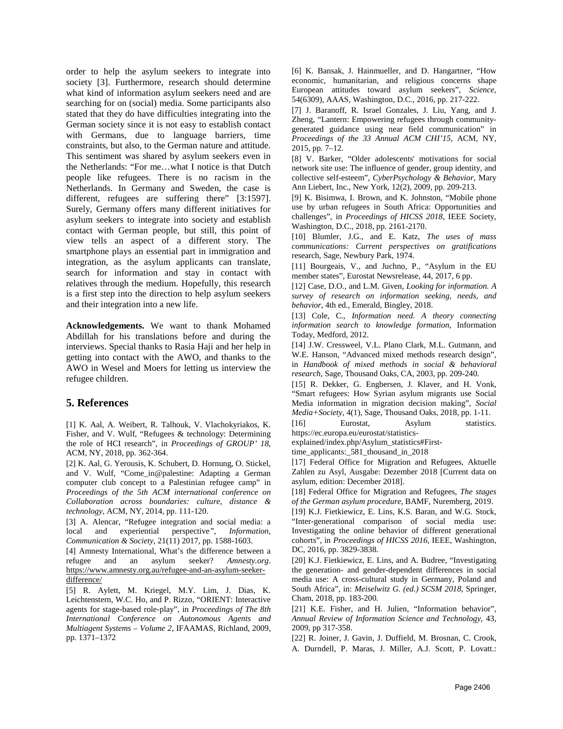order to help the asylum seekers to integrate into society [3]. Furthermore, research should determine what kind of information asylum seekers need and are searching for on (social) media. Some participants also stated that they do have difficulties integrating into the German society since it is not easy to establish contact with Germans, due to language barriers, time constraints, but also, to the German nature and attitude. This sentiment was shared by asylum seekers even in the Netherlands: "For me…what I notice is that Dutch people like refugees. There is no racism in the Netherlands. In Germany and Sweden, the case is different, refugees are suffering there" [3:1597]. Surely, Germany offers many different initiatives for asylum seekers to integrate into society and establish contact with German people, but still, this point of view tells an aspect of a different story. The smartphone plays an essential part in immigration and integration, as the asylum applicants can translate, search for information and stay in contact with relatives through the medium. Hopefully, this research is a first step into the direction to help asylum seekers and their integration into a new life.

**Acknowledgements.** We want to thank Mohamed Abdillah for his translations before and during the interviews. Special thanks to Rasia Haji and her help in getting into contact with the AWO, and thanks to the AWO in Wesel and Moers for letting us interview the refugee children.

## **5. References**

[1] K. Aal, A. Weibert, R. Talhouk, V. Vlachokyriakos, K. Fisher, and V. Wulf, "Refugees & technology: Determining the role of HCI research", in *Proceedings of GROUP' 18,* ACM, NY, 2018, pp. 362-364.

[2] K. Aal, G. Yerousis, K. Schubert, D. Hornung, O. Stickel, and V. Wulf, "Come\_in@palestine: Adapting a German computer club concept to a Palestinian refugee camp" in *Proceedings of the 5th ACM international conference on Collaboration across boundaries: culture, distance & technology*, ACM, NY, 2014, pp. 111-120.

[3] A. Alencar, "Refugee integration and social media: a local and experiential perspective*", Information, Communication & Society*, 21(11) 2017, pp. 1588-1603.

[4] Amnesty International, What's the difference between a refugee and an asylum seeker? *Amnesty.org*. [https://www.amnesty.org.au/refugee-and-an-asylum-seeker](https://www.amnesty.org.au/refugee-and-an-asylum-seeker-difference/)[difference/](https://www.amnesty.org.au/refugee-and-an-asylum-seeker-difference/)

[5] R. Aylett, M. Kriegel, M.Y. Lim, J. Dias, K. Leichtenstern, W.C. Ho, and P. Rizzo, "ORIENT: Interactive agents for stage-based role-play", in *Proceedings of The 8th International Conference on Autonomous Agents and Multiagent Systems – Volume 2*, IFAAMAS, Richland, 2009, pp. 1371–1372

[6] K. Bansak, J. Hainmueller, and D. Hangartner, "How economic, humanitarian, and religious concerns shape European attitudes toward asylum seekers", *Science*, 54(6309), AAAS, Washington, D.C., 2016, pp. 217-222.

[7] J. Baranoff, R. Israel Gonzales, J. Liu, Yang, and J. Zheng, "Lantern: Empowering refugees through communitygenerated guidance using near field communication" in *Proceedings of the 33 Annual ACM CHI'15,* ACM, NY, 2015, pp. 7–12.

[8] V. Barker, "Older adolescents' motivations for social network site use: The influence of gender, group identity, and collective self-esteem", *CyberPsychology & Behavior*, Mary Ann Liebert, Inc., New York, 12(2), 2009, pp. 209-213.

[9] K. Bisimwa, I. Brown, and K. Johnston, "Mobile phone use by urban refugees in South Africa: Opportunities and challenges", in *Proceedings of HICSS 2018,* IEEE Society, Washington, D.C., 2018, pp. 2161-2170.

[10] Blumler, J.G., and E. Katz, *The uses of mass communications: Current perspectives on gratifications* research, Sage, Newbury Park, 1974.

[11] Bourgeais, V., and Juchno, P., "Asylum in the EU member states", Eurostat Newsrelease, 44, 2017, 6 pp.

[12] Case, D.O., and L.M. Given*, Looking for information. A survey of research on information seeking, needs, and behavior*, 4th ed., Emerald, Bingley, 2018.

[13] Cole, C., *Information need. A theory connecting information search to knowledge formation*, Information Today, Medford, 2012.

[14] J.W. Cressweel, V.L. Plano Clark, M.L. Gutmann, and W.E. Hanson, "Advanced mixed methods research design", in *Handbook of mixed methods in social & behavioral research*, Sage, Thousand Oaks, CA, 2003, pp. 209-240.

[15] R. Dekker, G. Engbersen, J. Klaver, and H. Vonk, "Smart refugees: How Syrian asylum migrants use Social Media information in migration decision making", *Social Media+Society*, 4(1), Sage, Thousand Oaks, 2018, pp. 1-11.

[16] Eurostat, Asylum statistics. https://ec.europa.eu/eurostat/statistics-

explained/index.php/Asylum\_statistics#First-

time\_applicants:\_581\_thousand\_in\_2018

[17] Federal Office for Migration and Refugees, Aktuelle Zahlen zu Asyl, Ausgabe: Dezember 2018 [Current data on asylum, edition: December 2018].

[18] Federal Office for Migration and Refugees, *The stages of the German asylum procedure*, BAMF, Nuremberg, 2019.

[19] K.J. Fietkiewicz, E. Lins, K.S. Baran, and W.G. Stock, "Inter-generational comparison of social media use: Investigating the online behavior of different generational cohorts", in *Proceedings of HICSS 2016,* IEEE, Washington, DC, 2016, pp. 3829-3838.

[20] K.J. Fietkiewicz, E. Lins, and A. Budree, "Investigating the generation- and gender-dependent differences in social media use: A cross-cultural study in Germany, Poland and South Africa", in: *Meiselwitz G. (ed.) SCSM 2018*, Springer, Cham, 2018, pp. 183-200.

[21] K.E. Fisher, and H. Julien, "Information behavior", *Annual Review of Information Science and Technology*, 43, 2009, pp 317-358.

[22] R. Joiner, J. Gavin, J. Duffield, M. Brosnan, C. Crook, A. Durndell, P. Maras, J. Miller, A.J. Scott, P. Lovatt.: